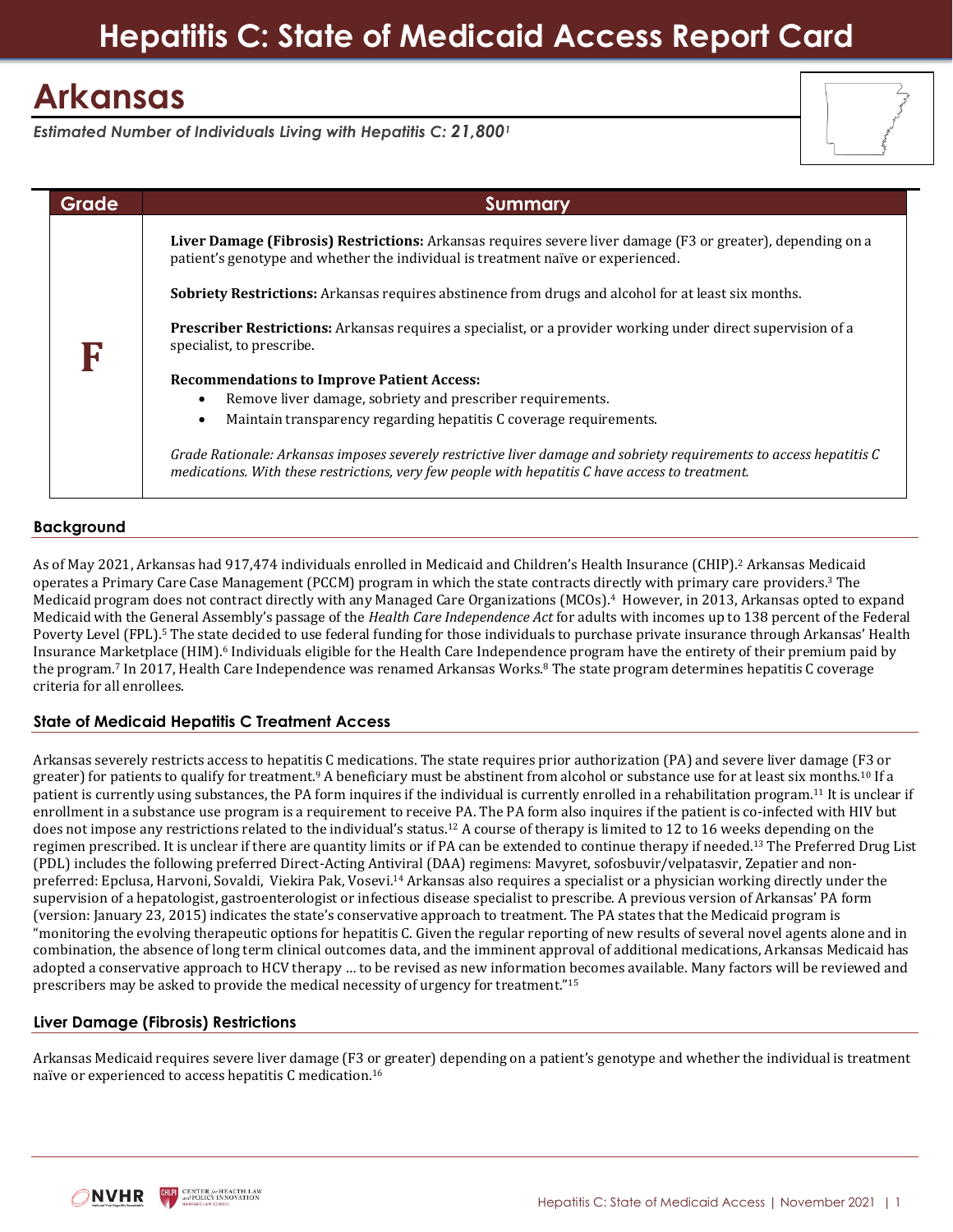# **Hepatitis C: State of Medicaid Access Report Card**

## **Arkansas**

*Estimated Number of Individuals Living with Hepatitis C: 21,800<sup>1</sup>*



## **Background**

As of May 2021, Arkansas had 917,474 individuals enrolled in Medicaid and Children's Health Insurance (CHIP).<sup>2</sup> Arkansas Medicaid operates a Primary Care Case Management (PCCM) program in which the state contracts directly with primary care providers.<sup>3</sup> The Medicaid program does not contract directly with any Managed Care Organizations (MCOs).<sup>4</sup> However, in 2013, Arkansas opted to expand Medicaid with the General Assembly's passage of the *Health Care Independence Act* for adults with incomes up to 138 percent of the Federal Poverty Level (FPL).<sup>5</sup> The state decided to use federal funding for those individuals to purchase private insurance through Arkansas' Health Insurance Marketplace (HIM).<sup>6</sup> Individuals eligible for the Health Care Independence program have the entirety of their premium paid by the program.<sup>7</sup> In 2017, Health Care Independence was renamed Arkansas Works.<sup>8</sup> The state program determines hepatitis C coverage criteria for all enrollees.

## **State of Medicaid Hepatitis C Treatment Access**

Arkansas severely restricts access to hepatitis C medications. The state requires prior authorization (PA) and severe liver damage (F3 or greater) for patients to qualify for treatment.<sup>9</sup> A beneficiary must be abstinent from alcohol or substance use for at least six months.<sup>10</sup> If a patient is currently using substances, the PA form inquires if the individual is currently enrolled in a rehabilitation program.<sup>11</sup> It is unclear if enrollment in a substance use program is a requirement to receive PA. The PA form also inquires if the patient is co-infected with HIV but does not impose any restrictions related to the individual's status.<sup>12</sup> A course of therapy is limited to 12 to 16 weeks depending on the regimen prescribed. It is unclear if there are quantity limits or if PA can be extended to continue therapy if needed.<sup>13</sup> The Preferred Drug List (PDL) includes the following preferred Direct-Acting Antiviral (DAA) regimens: Mavyret, sofosbuvir/velpatasvir, Zepatier and nonpreferred: Epclusa, Harvoni, Sovaldi, Viekira Pak, Vosevi.<sup>14</sup> Arkansas also requires a specialist or a physician working directly under the supervision of a hepatologist, gastroenterologist or infectious disease specialist to prescribe. A previous version of Arkansas' PA form (version: January 23, 2015) indicates the state's conservative approach to treatment. The PA states that the Medicaid program is "monitoring the evolving therapeutic options for hepatitis C. Given the regular reporting of new results of several novel agents alone and in combination, the absence of long term clinical outcomes data, and the imminent approval of additional medications, Arkansas Medicaid has adopted a conservative approach to HCV therapy … to be revised as new information becomes available. Many factors will be reviewed and prescribers may be asked to provide the medical necessity of urgency for treatment."<sup>15</sup>

## **Liver Damage (Fibrosis) Restrictions**

Arkansas Medicaid requires severe liver damage (F3 or greater) depending on a patient's genotype and whether the individual is treatment naïve or experienced to access hepatitis C medication.16